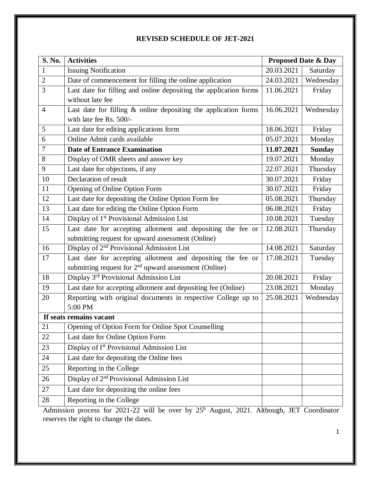|  |  | <b>REVISED SCHEDULE OF JET-2021</b> |
|--|--|-------------------------------------|
|--|--|-------------------------------------|

| S. No.         | <b>Activities</b>                                                  | <b>Proposed Date &amp; Day</b> |               |
|----------------|--------------------------------------------------------------------|--------------------------------|---------------|
| $\mathbf{1}$   | <b>Issuing Notification</b>                                        | 20.03.2021                     | Saturday      |
| $\overline{2}$ | Date of commencement for filling the online application            | 24.03.2021                     | Wednesday     |
| 3              | Last date for filling and online depositing the application forms  | 11.06.2021                     | Friday        |
|                | without late fee                                                   |                                |               |
| $\overline{4}$ | Last date for filling $\&$ online depositing the application forms | 16.06.2021                     | Wednesday     |
|                | with late fee Rs. 500/-                                            |                                |               |
| 5              | Last date for editing applications form                            | 18.06.2021                     | Friday        |
| 6              | Online Admit cards available                                       | 05.07.2021                     | Monday        |
| $\overline{7}$ | <b>Date of Entrance Examination</b>                                | 11.07.2021                     | <b>Sunday</b> |
| 8              | Display of OMR sheets and answer key                               | 19.07.2021                     | Monday        |
| 9              | Last date for objections, if any                                   | 22.07.2021                     | Thursday      |
| 10             | Declaration of result                                              | 30.07.2021                     | Friday        |
| 11             | Opening of Online Option Form                                      | 30.07.2021                     | Friday        |
| 12             | Last date for depositing the Online Option Form fee                | 05.08.2021                     | Thursday      |
| 13             | Last date for editing the Online Option Form                       | 06.08.2021                     | Friday        |
| 14             | Display of 1 <sup>st</sup> Provisional Admission List              | 10.08.2021                     | Tuesday       |
| 15             | Last date for accepting allotment and depositing the fee or        | 12.08.2021                     | Thursday      |
|                | submitting request for upward assessment (Online)                  |                                |               |
| 16             | Display of 2 <sup>nd</sup> Provisional Admission List              | 14.08.2021                     | Saturday      |
| 17             | Last date for accepting allotment and depositing the fee or        | 17.08.2021                     | Tuesday       |
|                | submitting request for 2 <sup>nd</sup> upward assessment (Online)  |                                |               |
| 18             | Display 3rd Provisional Admission List                             | 20.08.2021                     | Friday        |
| 19             | Last date for accepting allotment and depositing fee (Online)      | 23.08.2021                     | Monday        |
| 20             | Reporting with original documents in respective College up to      | 25.08.2021                     | Wednesday     |
|                | 5:00 PM                                                            |                                |               |
|                | If seats remains vacant                                            |                                |               |
| 21             | Opening of Option Form for Online Spot Counselling                 |                                |               |
| 22             | Last date for Online Option Form                                   |                                |               |
| 23             | Display of I <sup>st</sup> Provisional Admission List              |                                |               |
| 24             | Last date for depositing the Online fees                           |                                |               |
| 25             | Reporting in the College                                           |                                |               |
| 26             | Display of 2 <sup>nd</sup> Provisional Admission List              |                                |               |
| 27             | Last date for depositing the online fees                           |                                |               |
| 28             | Reporting in the College                                           |                                |               |

Admission process for 2021-22 will be over by 25<sup>h</sup> August, 2021. Although, JET Coordinator reserves the right to change the dates.